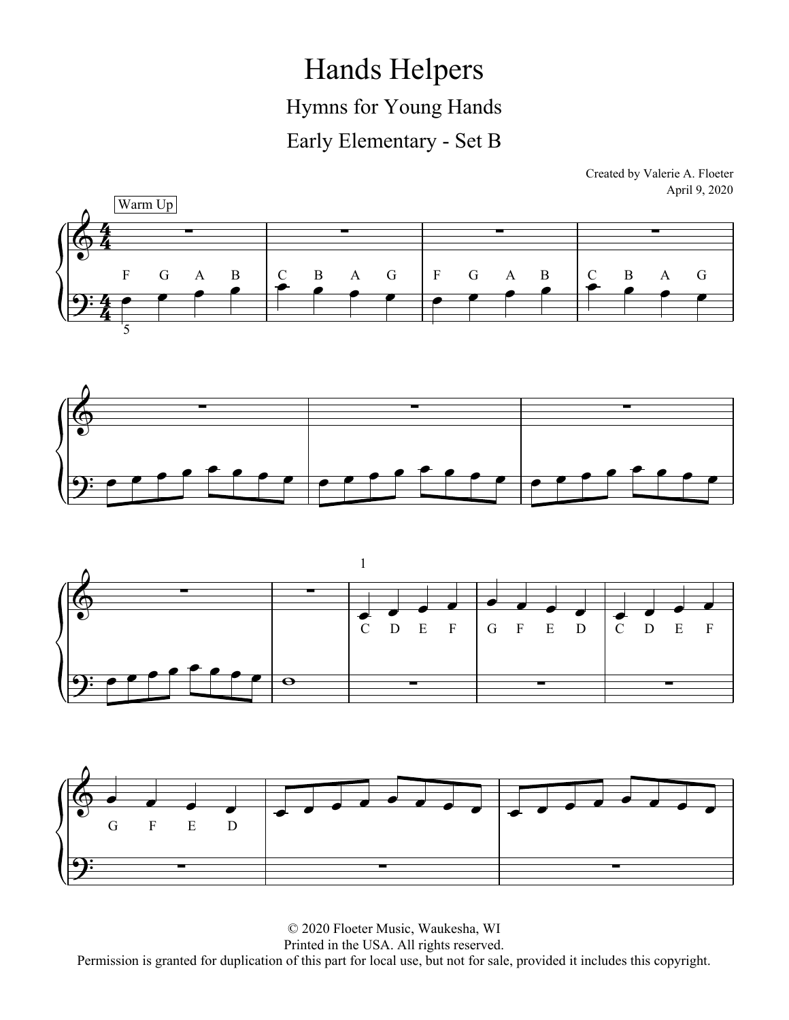Hands Helpers Hymns for Young Hands Early Elementary - Set B

> Created by Valerie A. Floeter April 9, 2020







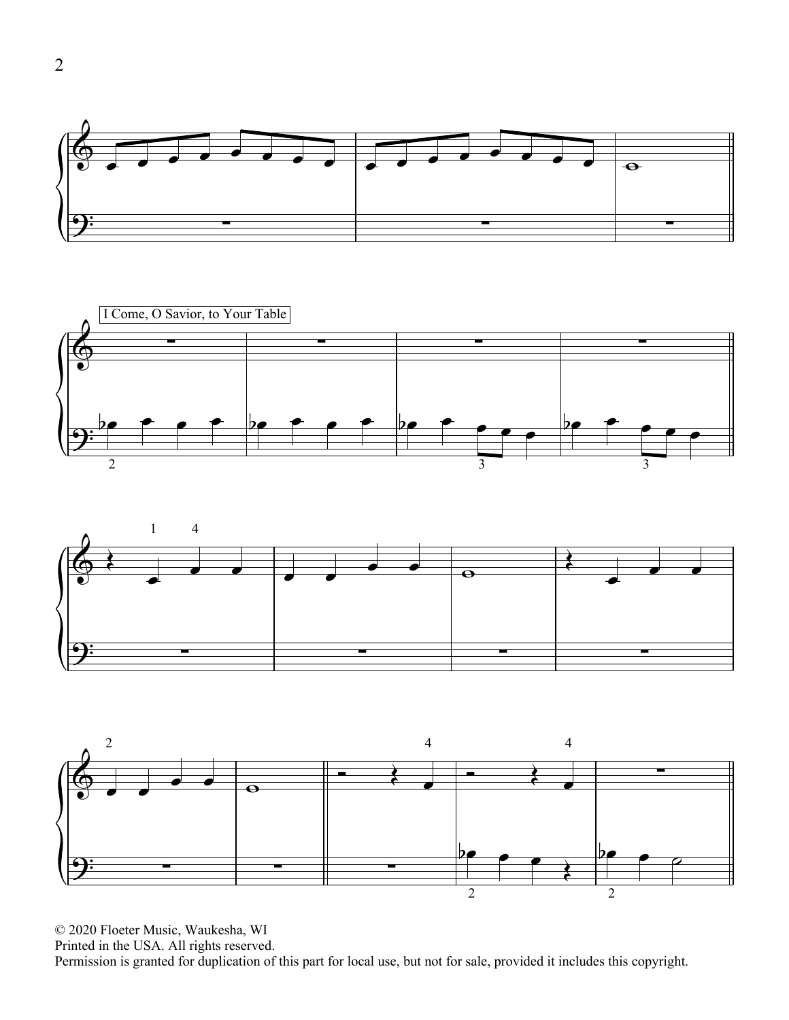





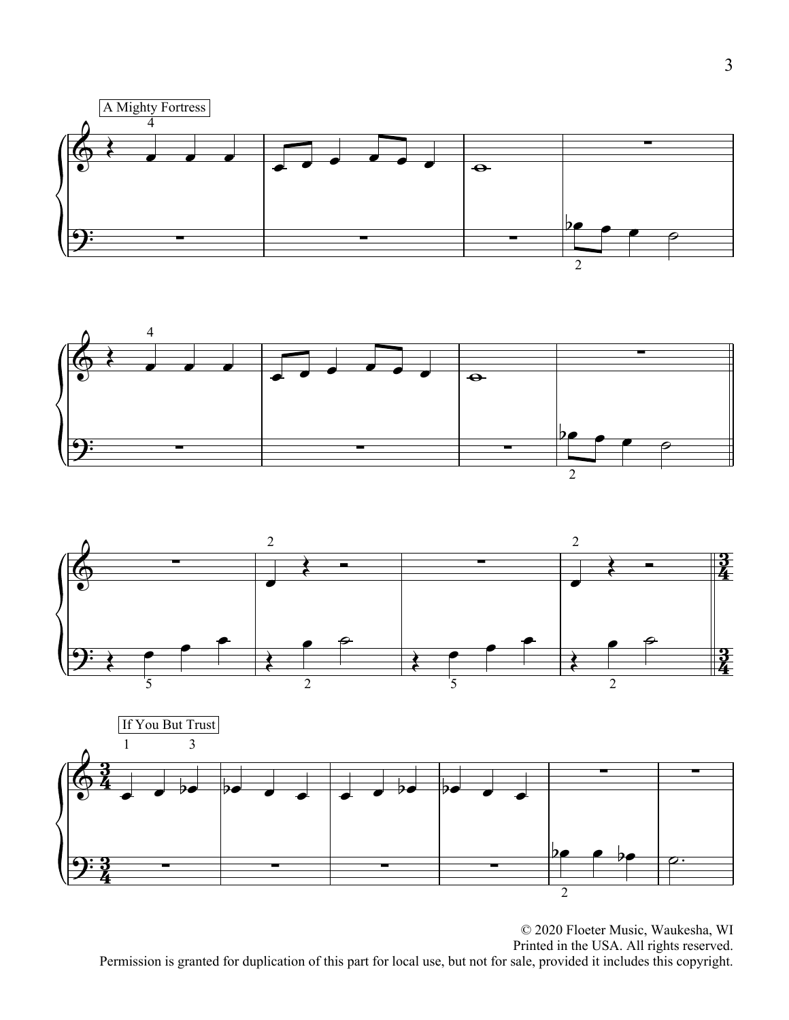





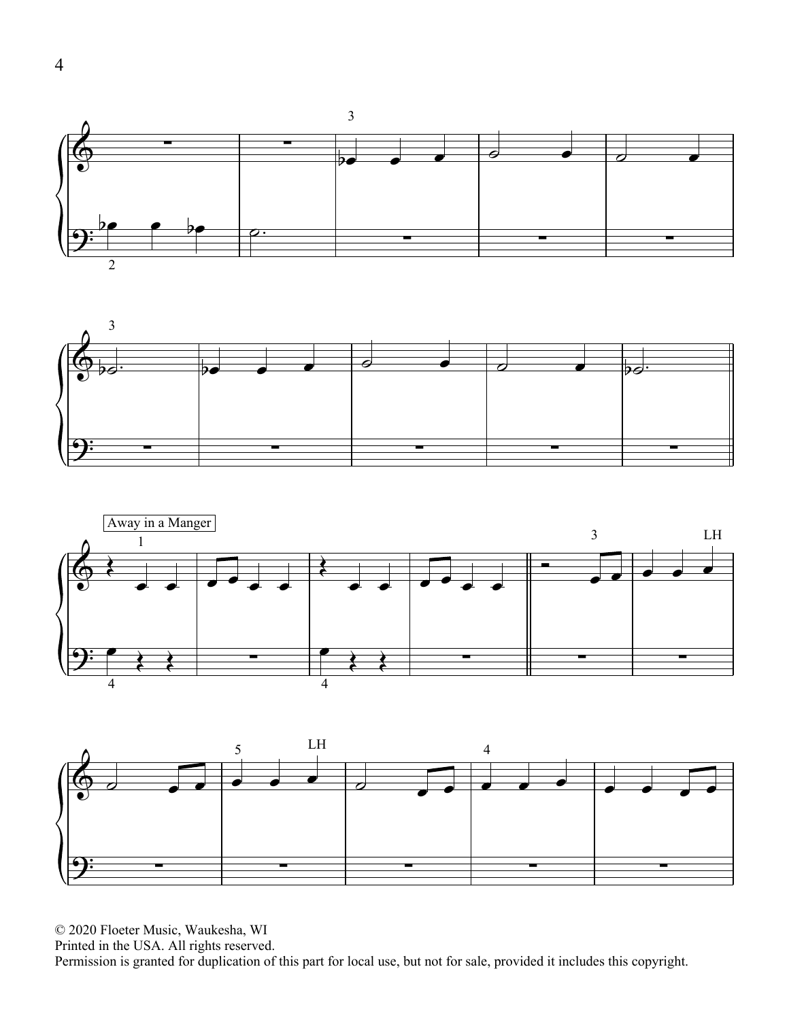





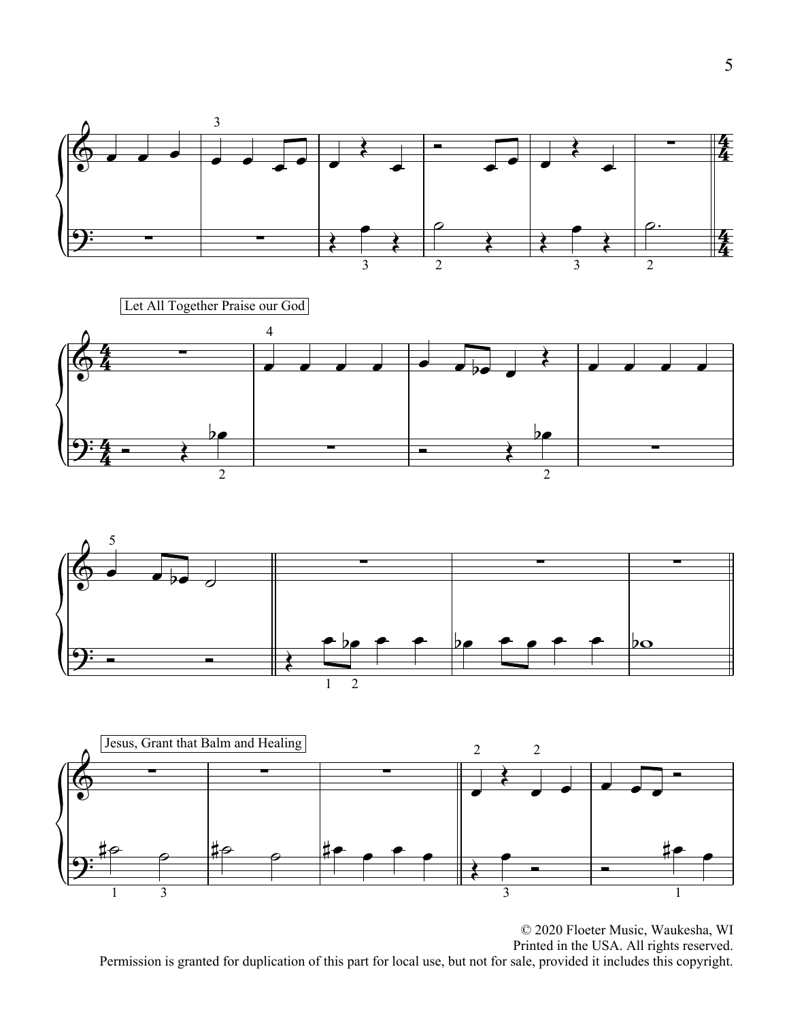





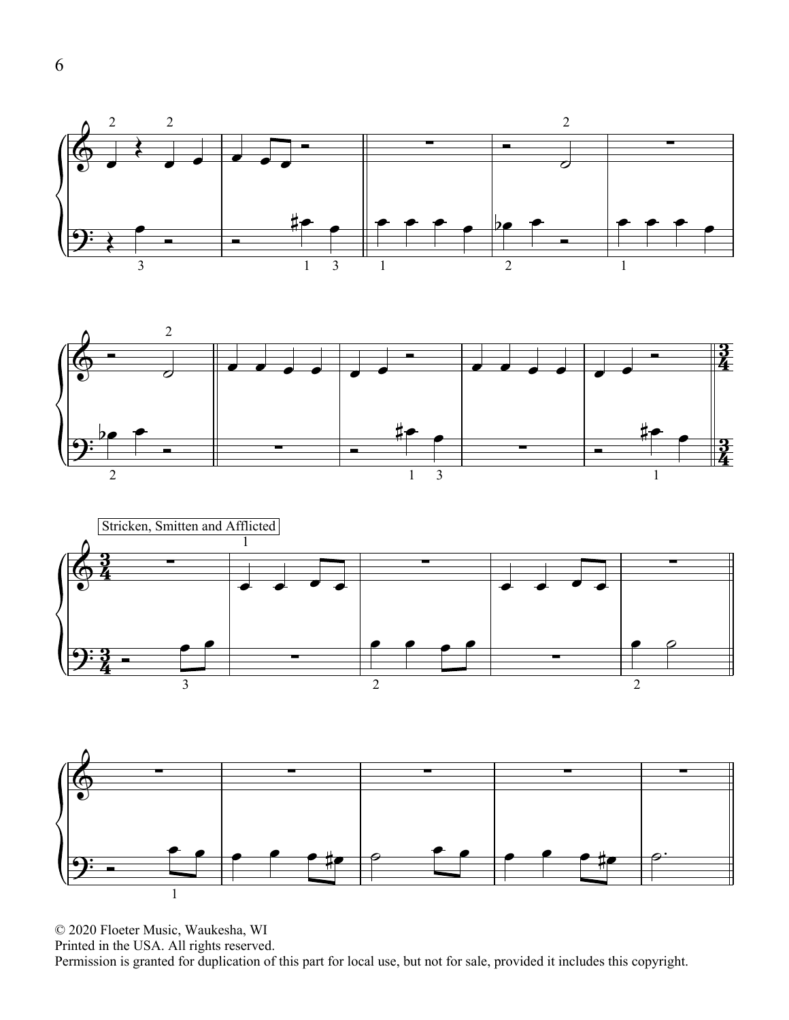





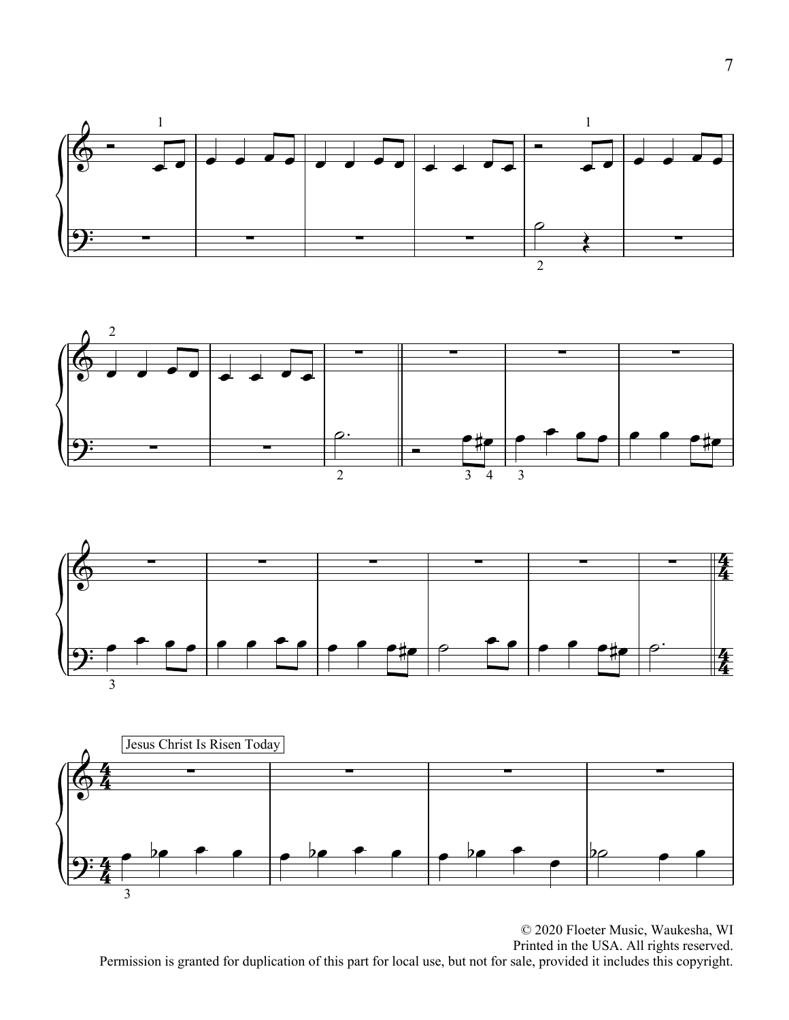





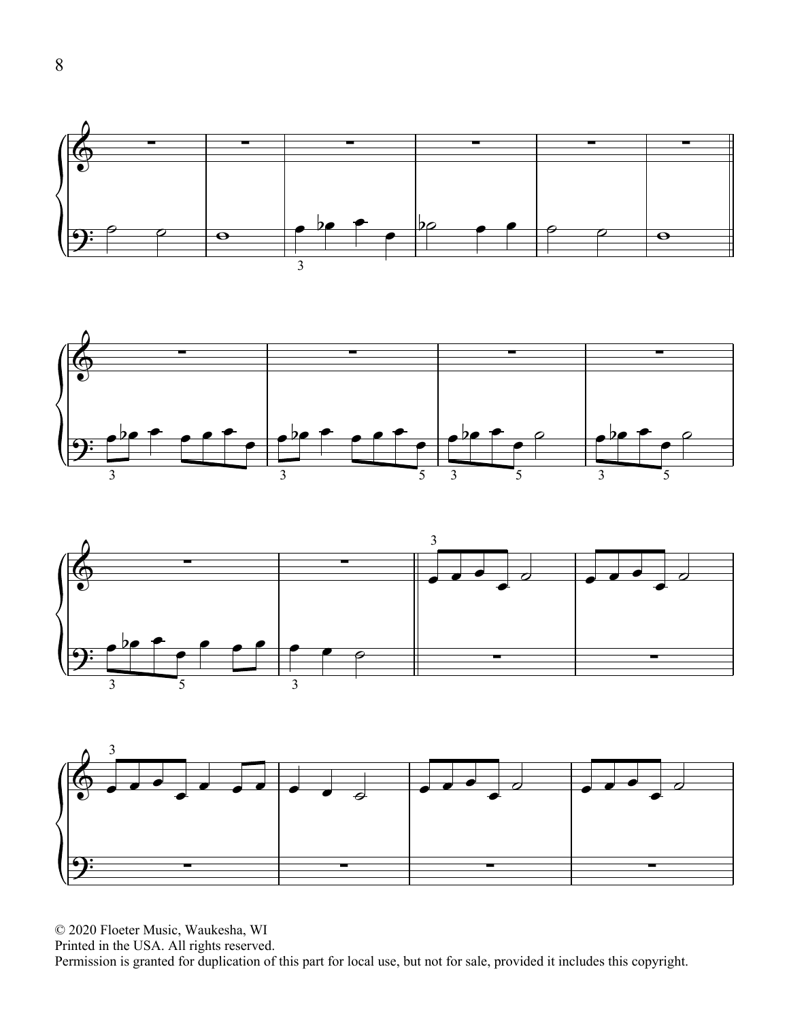





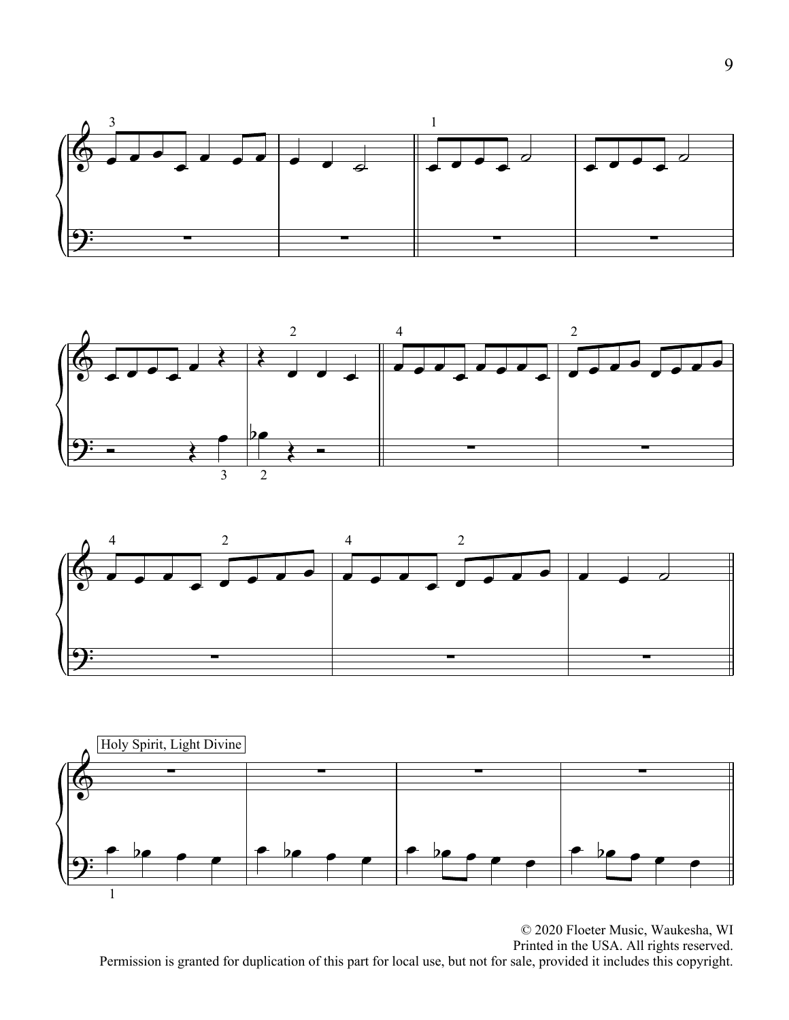





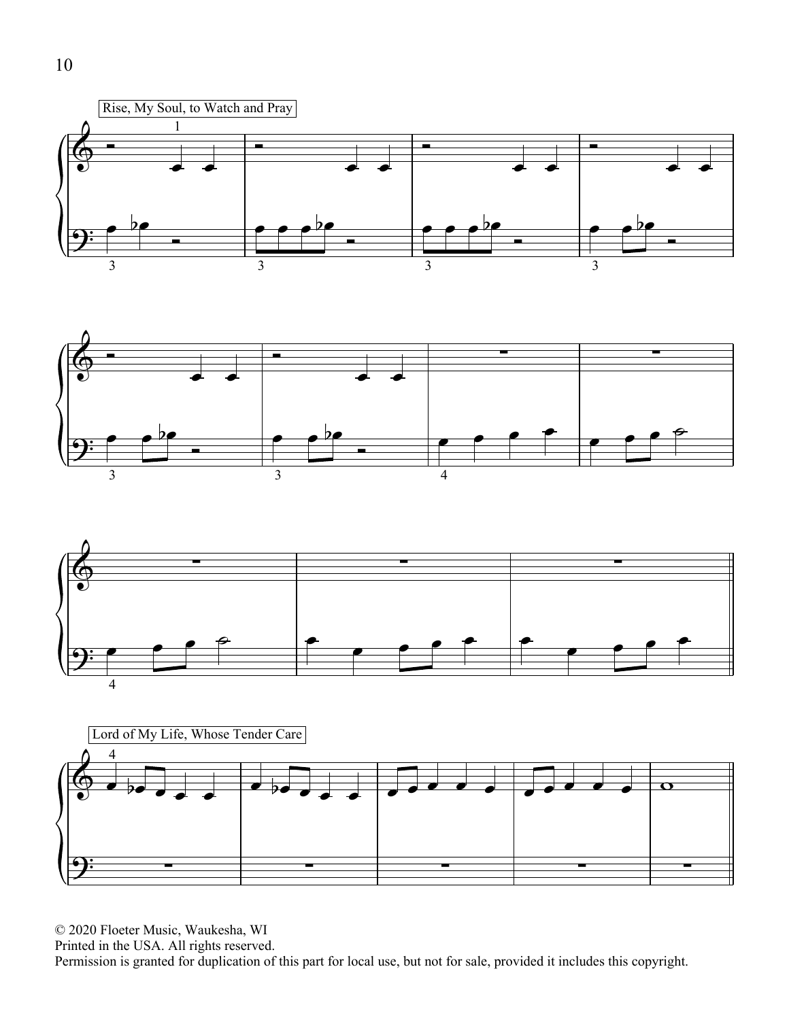